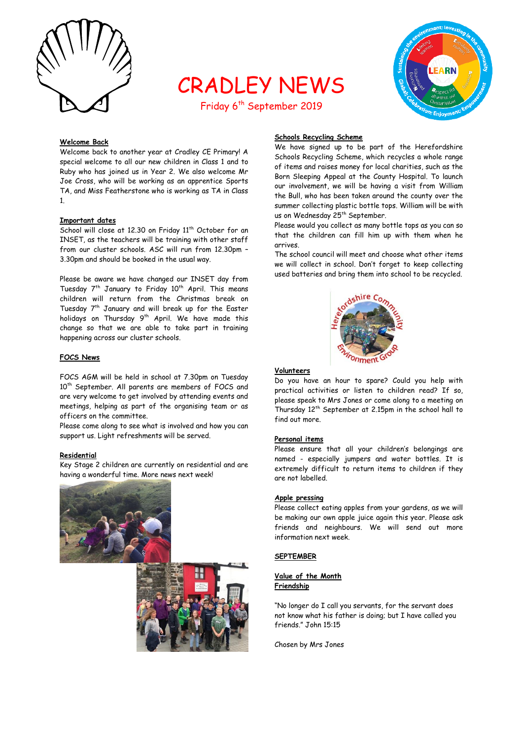

# CRADLEY NEWS

Friday 6<sup>th</sup> September 2019



#### **Welcome Back**

Welcome back to another year at Cradley CE Primary! A special welcome to all our new children in Class 1 and to Ruby who has joined us in Year 2. We also welcome Mr Joe Cross, who will be working as an apprentice Sports TA, and Miss Featherstone who is working as TA in Class 1.

#### **Important dates**

School will close at 12.30 on Friday 11<sup>th</sup> October for an INSET, as the teachers will be training with other staff from our cluster schools. ASC will run from 12.30pm – 3.30pm and should be booked in the usual way.

Please be aware we have changed our INSET day from Tuesday  $7<sup>th</sup>$  January to Friday 10<sup>th</sup> April. This means children will return from the Christmas break on Tuesday 7<sup>th</sup> January and will break up for the Easter holidays on Thursday 9<sup>th</sup> April. We have made this change so that we are able to take part in training happening across our cluster schools.

#### **FOCS News**

FOCS AGM will be held in school at 7.30pm on Tuesday 10<sup>th</sup> September. All parents are members of FOCS and are very welcome to get involved by attending events and meetings, helping as part of the organising team or as officers on the committee.

Please come along to see what is involved and how you can support us. Light refreshments will be served.

#### **Residential**

Key Stage 2 children are currently on residential and are having a wonderful time. More news next week!





#### **Schools Recycling Scheme**

We have signed up to be part of the Herefordshire Schools Recycling Scheme, which recycles a whole range of items and raises money for local charities, such as the Born Sleeping Appeal at the County Hospital. To launch our involvement, we will be having a visit from William the Bull, who has been taken around the county over the summer collecting plastic bottle tops. William will be with us on Wednesday 25<sup>th</sup> September.

Please would you collect as many bottle tops as you can so that the children can fill him up with them when he arrives.

The school council will meet and choose what other items we will collect in school. Don't forget to keep collecting used batteries and bring them into school to be recycled.



#### **Volunteers**

Do you have an hour to spare? Could you help with practical activities or listen to children read? If so, please speak to Mrs Jones or come along to a meeting on Thursday 12th September at 2.15pm in the school hall to find out more.

#### **Personal items**

Please ensure that all your children's belongings are named - especially jumpers and water bottles. It is extremely difficult to return items to children if they are not labelled.

#### **Apple pressing**

Please collect eating apples from your gardens, as we will be making our own apple juice again this year. Please ask friends and neighbours. We will send out more information next week.

#### **SEPTEMBER**

#### **Value of the Month Friendship**

"No longer do I call you servants, for the servant does not know what his father is doing; but I have called you friends." John 15:15

Chosen by Mrs Jones